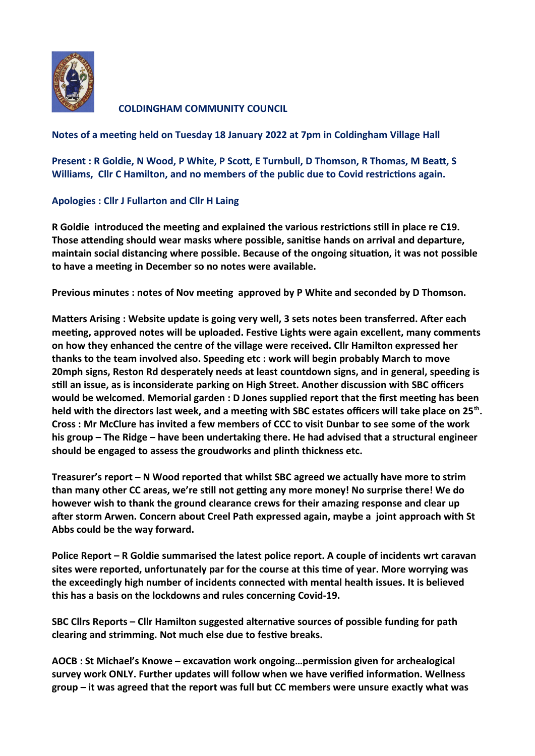

**COLDINGHAM COMMUNITY COUNCIL** 

## **Notes of a meeting held on Tuesday 18 January 2022 at 7pm in Coldingham Village Hall**

**Present : R Goldie, N Wood, P White, P Scott, E Turnbull, D Thomson, R Thomas, M Beatt, S Williams, Cllr C Hamilton, and no members of the public due to Covid restrictions again.**

## **Apologies : Cllr J Fullarton and Cllr H Laing**

**R Goldie introduced the meeting and explained the various restrictions still in place re C19. Those attending should wear masks where possible, sanitise hands on arrival and departure, maintain social distancing where possible. Because of the ongoing situation, it was not possible to have a meeting in December so no notes were available.** 

**Previous minutes : notes of Nov meeting approved by P White and seconded by D Thomson.** 

**Matters Arising : Website update is going very well, 3 sets notes been transferred. After each meeting, approved notes will be uploaded. Festive Lights were again excellent, many comments on how they enhanced the centre of the village were received. Cllr Hamilton expressed her thanks to the team involved also. Speeding etc : work will begin probably March to move 20mph signs, Reston Rd desperately needs at least countdown signs, and in general, speeding is still an issue, as is inconsiderate parking on High Street. Another discussion with SBC officers would be welcomed. Memorial garden : D Jones supplied report that the first meeting has been held with the directors last week, and a meeting with SBC estates officers will take place on 25th . Cross : Mr McClure has invited a few members of CCC to visit Dunbar to see some of the work his group – The Ridge – have been undertaking there. He had advised that a structural engineer should be engaged to assess the groudworks and plinth thickness etc.**

**Treasurer's report – N Wood reported that whilst SBC agreed we actually have more to strim than many other CC areas, we're still not getting any more money! No surprise there! We do however wish to thank the ground clearance crews for their amazing response and clear up after storm Arwen. Concern about Creel Path expressed again, maybe a joint approach with St Abbs could be the way forward.**

**Police Report – R Goldie summarised the latest police report. A couple of incidents wrt caravan sites were reported, unfortunately par for the course at this time of year. More worrying was the exceedingly high number of incidents connected with mental health issues. It is believed this has a basis on the lockdowns and rules concerning Covid-19.**

**SBC Cllrs Reports – Cllr Hamilton suggested alternative sources of possible funding for path clearing and strimming. Not much else due to festive breaks.**

**AOCB : St Michael's Knowe – excavation work ongoing…permission given for archealogical survey work ONLY. Further updates will follow when we have verified information. Wellness group – it was agreed that the report was full but CC members were unsure exactly what was**